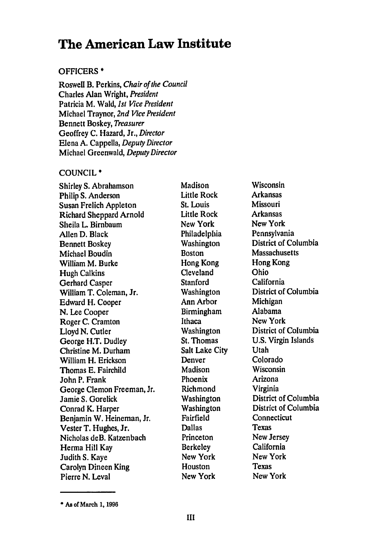# **The American Law Institute**

## OFFICERS \*

Roswell B. Perkins, Chair of the Council Charles Alan Wright, President Patricia M. Wald, *1st* Vice President Michael Traynor, 2nd Vice President Bennett Boskey, Treasurer Geoffrey C. Hazard, Jr., Director Elena A. Cappella, Deputy Director Michael Greenwald, Deputy Director

## COUNCIL \*

Shirley **S.** Abrahamson Philip **S.** Anderson Susan Frelich Appleton Richard Sheppard Arnold Sheila L. Birnbaum Allen **D.** Black Bennett Boskey Michael Boudin William M. Burke Hugh Calkins Gerhard Casper William T. Coleman, Jr. Edward H. Cooper **N.** Lee Cooper Roger **C.** Cramton Lloyd **N.** Cutler George H.T. Dudley Christine M. Durham William H. Erickson Thomas **E.** Fairchild John P. Frank George Clemon Freeman, Jr. Jamie **S.** Gorelick Conrad K. Harper Benjamin W. Heineman, Jr. Vester T. Hughes, Jr. Nicholas deB. Katzenbach **Herma** Hill Kay Judith **S.** Kaye Carolyn Dineen King Pierre **N.** Leval

Madison Little Rock St. Louis Little Rock New York Philadelphia Washington Boston Hong Kong Cleveland Stanford Washington Ann Arbor Birmingham Ithaca Washington St. Thomas Salt Lake City Denver Madison Phoenix Richmond Washington Washington Fairfield Dallas Princeton Berkeley New York **Houston** New York

Wisconsin Arkansas Missouri Arkansas New York Pennsylvania District of Columbia Massachusetts Hong Kong Ohio California District of Columbia Michigan Alabama New York District of Columbia **U.S.** Virgin Islands Utah Colorado Wisconsin Arizona Virginia District of Columbia District of Columbia **Connecticut** Texas New Jersey California New York Texas New York

**<sup>\*</sup> As of March 1, 1996**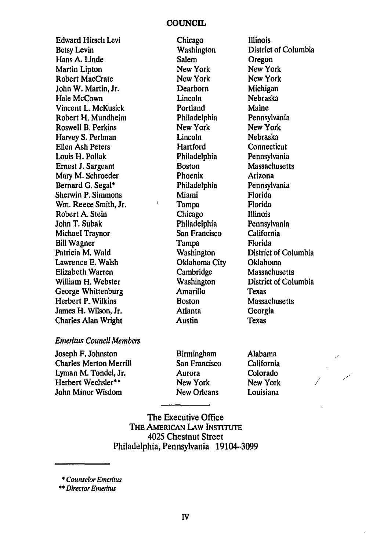#### **COUNCIL**

Edward Hirsch Levi Betsy Levin Hans **A.** Linde Martin Lipton Robert MacCrate John W. Martin, Jr. Hale McCown Vincent L. McKusick Robert H. Mundheim Roswell B. Perkins Harvey **S.** Perlman Ellen Ash Peters Louis H. Pollak Ernest **J.** Sargeant Mary M. Schroeder Bernard **G.** Segal\* Sherwin P. Simmons Win. Reece Smith, Jr. Robert **A.** Stein John T. Subak Michael Traynor Bill Wagner Patricia M. Wald Lawrence **E.** Walsh Elizabeth Warren William H. Webster George Whittenburg Herbert P. Wilkins James H. Wilson, Jr. Charles Alan Wright

Chicago **Washington** Salem New York New York Dearborn Lincoln Portland Philadelphia New York Lincoln **Hartford** Philadelphia Boston Phoenix Philadelphia Miami Tampa Chicago Philadelphia San Francisco Tampa Washington Oklahoma City Cambridge **Washington** Amarillo Boston Atlanta **Austin** 

 $\ddot{\phantom{a}}$ 

Illinois District of Columbia Oregon New York New York Michigan Nebraska Maine Pennsylvania New York Nebraska **Connecticut** Pennsylvania Massachusetts Arizona Pennsylvania Florida Florida Illinois Pennsylvania California Florida District of Columbia Oklahoma Massachusetts District of Columbia **Texas** Massachusetts Georgia Texas

## Emeritus Council Members

Joseph F. Johnston Charles Merton Merrill Lyman M. Tondel, Jr. Herbert Wechsler\*\* John Minor Wisdom

Birmingham San Francisco Aurora New York New Orleans

Alabama California Colorado New York Louisiana

The Executive Office **THE AMERICAN LAW INSTITUTE** 4025 Chestnut Street Philadelphia, Pennsylvania 19104-3099

*\** Counselor Emeritus

*\*\*Director* Emeritus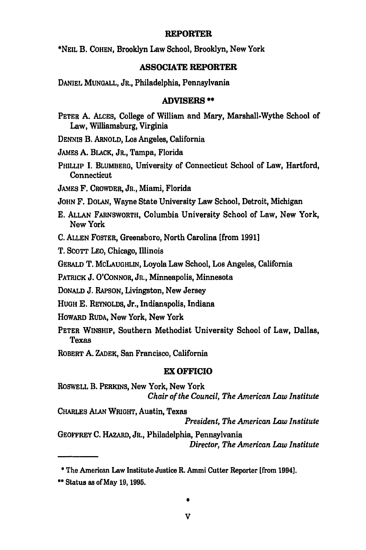#### **REPORTER**

\*NEIL B. **COHEN,** Brooklyn Law School, Brooklyn, New York

## **ASSOCIATE REPORTER**

DANIEL **MUNGALL,** JR., Philadelphia, Pennsylvania

### **ADVISERS \*\***

PETER **A. ALCES,** College of William and Mary, Marshall-Wythe School of Law, Williamsburg, Virginia

DENNIS B. ARNOLD, Los Angeles, California

JAMES A. BLACK, JR., Tampa, Florida

PHILLIP I. BLUMBERG, University of Connecticut School of Law, Hartford, Connecticut

JAMES F. CROWDER, JR., Miami, Florida

**JOHN** F. DOLAN, Wayne State University Law School, Detroit, Michigan

- **E. ALLAN** FARNSWORTH, Columbia University School of Law, New York, New York
- **C. ALLEN** FOSTER, Greensboro, North Carolina [from **1991]**

T. **SCOTT** LEO, Chicago, Illinois

GERALD T. MCLAUGHLIN, Loyola Law School, Los Angeles, California

PATRICK **J. O'CONNOR,** JR., Minneapolis, Minnesota

**DONALD J.** RAPSON, Livingston, New Jersey

**HUGH E.** REYNOLDS, Jr., Indianapolis, Indiana

- **HOWARD** RUDA, New York, New York
- PETER WINSHIP, Southern Methodist University School of Law, Dallas, Texas
- ROBERT **A.** ZADEK, San Francisco, California

#### EX **OFFICIO**

ROSWELL B. PERKINS, New York, New York *Chair of the Council, The American Law Institute*

CHARLES **ALAN** WRIGHT, Austin, Texas *President, The American Law Institute*

GEOFFREY C. HAzARD, JR., Philadelphia, Pennsylvania *Director, The American Law Institute*

**\*** The American Law Institute Justice R. Ammi Cutter Reporter [from 1994].

**\*\*** Status as of May **19,1995.**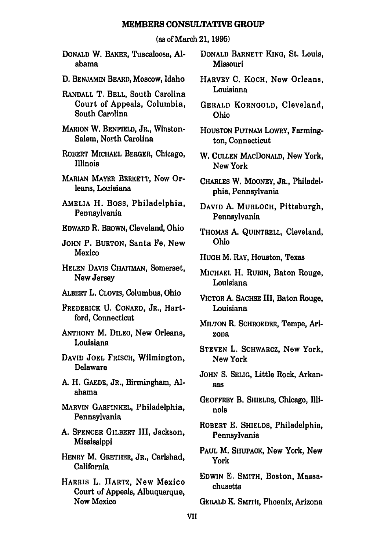#### **MEMBERS CONSULTATIVE GROUP**

(as of March 21, **1995)**

- **DONALD** W. BAKER, Tuscaloosa, **Al**abama
- **D. BENJAMIN** BEARD, Moscow, Idaho
- RANDALL T. BELL, South Carolina Court of Appeals, Columbia, South Carolina
- **MARION** W. **BENFIELD,** JR., Winston-Salem, North Carolina
- ROBERT **MICHAEL** BERGER, Chicago, Illinois
- MARIAN MAYER BERKETT, New Orleans, Louisiana
- AMELIA H. Boss, Philadelphia, Pennsylvania
- EDWARD R. BROWN, Cleveland, Ohio
- **JOHN** P. BURTON, Santa Fe, New Mexico
- HELEN DAVIS CHAITMAN, Somerset, New Jersey
- ALBERT L. CLOVIS, Columbus, Ohio
- FREDERICK **U.** CONARD, JR., Hartford, Connecticut
- **ANTHONY** M. DILEO, New Orleans, Louisiana
- DAVID **JOEL** FRISCH, Wilmington, Delaware
- **A.** H. **GAEDE,** JR., Birmingham, **Al**abama
- MARVIN GARFINKEL, Philadelphia, Pennsylvania
- **A. SPENCER** GILBERT III, Jackson, Mississippi
- HENRY M. GRETHER, JR., Carlsbad, California
- HARRIS L. HARTZ, New Mexico Court of Appeals, Albuquerque, New Mexico
- DONALD BARNETT **KING,** St. Louis, Missouri
- HARVEY **C.** KOCH, New Orleans, Louisiana
- GERALD KORNGOLD, Cleveland, Ohio
- **HOUSTON** PUTNAM LOWRY, Farmington, Connecticut
- W. **CULLEN** MACDONALD, New York, New York
- **CHARLES** W. MOONEY, JR., Philadelphia, Pennsylvania
- DAVYD **A.** MURLOCH, Pittsburgh, Pennsylvania
- THOMAS **A.** QUINTRELL, Cleveland, Ohio
- **HUGH** M. RAY, Houston, Texas
- MICHAEL H. **RUBIN,** Baton Rouge, Louisiana
- VICTOR **A. SACHSE III,** Baton Rouge, Louisiana
- **MILTON** R. SCHROEDER, Tempe, Arizona
- **STEVEN** L. SCHWARCZ, New York, New York
- **JOHN** S. **SEUG,** Little Rock, Arkan**ass**
- GEOFFREY B. SHIELDS, Chicago, Illinois
- ROBERT **E.** SHIELDS, Philadelphia, Pennsylvania
- PAUL M. SHUPACK, New York, New York
- EDWIN **E.** SMITH, Boston, Massachusetts

GERALD K. SMITH, Phoenix, Arizona